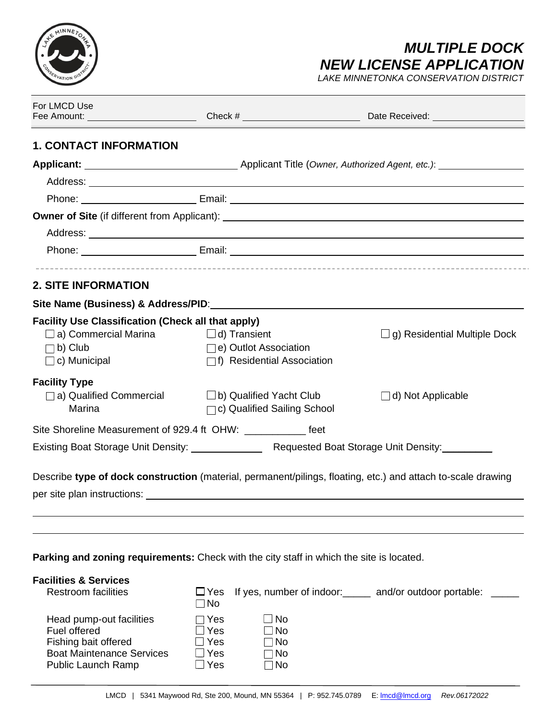

# *MULTIPLE DOCK NEW LICENSE APPLICATION*

*LAKE MINNETONKA CONSERVATION DISTRICT*

| For LMCD Use                                                                                                                      |                                                                                      | Fee Amount: _____________________________Check # _______________________________Date Received: _______________                                                                                                                 |
|-----------------------------------------------------------------------------------------------------------------------------------|--------------------------------------------------------------------------------------|--------------------------------------------------------------------------------------------------------------------------------------------------------------------------------------------------------------------------------|
| <b>1. CONTACT INFORMATION</b>                                                                                                     |                                                                                      |                                                                                                                                                                                                                                |
|                                                                                                                                   |                                                                                      |                                                                                                                                                                                                                                |
|                                                                                                                                   |                                                                                      |                                                                                                                                                                                                                                |
|                                                                                                                                   |                                                                                      | Phone: Email: Email: Email: Email: Email: Email: Email: Email: Email: Email: Email: Email: Email: Email: Email: Email: Email: Email: Email: Email: Email: Email: Email: Email: Email: Email: Email: Email: Email: Email: Email |
|                                                                                                                                   |                                                                                      |                                                                                                                                                                                                                                |
|                                                                                                                                   |                                                                                      |                                                                                                                                                                                                                                |
|                                                                                                                                   |                                                                                      | Phone: Email: Email: Email: 2004                                                                                                                                                                                               |
| <b>2. SITE INFORMATION</b>                                                                                                        |                                                                                      |                                                                                                                                                                                                                                |
| Site Name (Business) & Address/PID:                                                                                               |                                                                                      |                                                                                                                                                                                                                                |
| <b>Facility Use Classification (Check all that apply)</b><br>$\Box$ a) Commercial Marina<br>$\Box$ b) Club<br>$\Box$ c) Municipal | $\square$ d) Transient<br>e) Outlot Association<br>$\Box$ f) Residential Association | g) Residential Multiple Dock                                                                                                                                                                                                   |
| <b>Facility Type</b><br>a) Qualified Commercial<br>Marina                                                                         | $\Box$ b) Qualified Yacht Club<br>$\Box$ c) Qualified Sailing School                 | $\Box$ d) Not Applicable                                                                                                                                                                                                       |
| Site Shoreline Measurement of 929.4 ft OHW: ______________ feet                                                                   |                                                                                      |                                                                                                                                                                                                                                |
|                                                                                                                                   |                                                                                      |                                                                                                                                                                                                                                |
|                                                                                                                                   |                                                                                      | Describe type of dock construction (material, permanent/pilings, floating, etc.) and attach to-scale drawing                                                                                                                   |
|                                                                                                                                   |                                                                                      |                                                                                                                                                                                                                                |
| <b>Parking and zoning requirements:</b> Check with the city staff in which the site is located.                                   |                                                                                      |                                                                                                                                                                                                                                |
| <b>Facilities &amp; Services</b><br><b>Restroom facilities</b>                                                                    | $\Box$ Yes<br>$\Box$ No                                                              | If yes, number of indoor: and/or outdoor portable:                                                                                                                                                                             |
| Head pump-out facilities<br>Fuel offered                                                                                          | $\Box$ No<br>$\sqcap$ Yes<br>Yes<br>$\exists$ No                                     |                                                                                                                                                                                                                                |

Fuel offered  $\Box$  Yes<br>Fishing bait offered  $\Box$  Yes

Fishing bait offered  $\Box$  Yes  $\Box$  No<br>Boat Maintenance Services  $\Box$  Yes  $\Box$  No Boat Maintenance Services DYes Mo Public Launch Ramp  $\Box$  Yes  $\Box$  No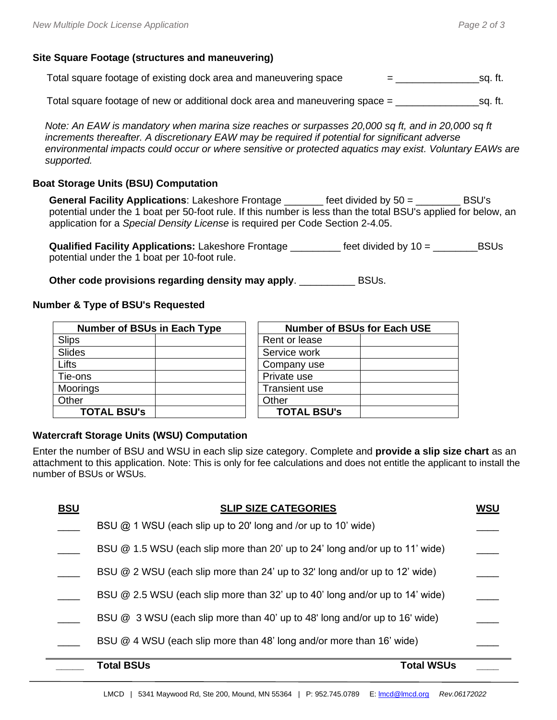## **Site Square Footage (structures and maneuvering)**

| Total square footage of existing dock area and maneuvering space | sq. ft. |
|------------------------------------------------------------------|---------|
|                                                                  |         |

Total square footage of new or additional dock area and maneuvering space =  $\qquad \qquad$  sq. ft.

*Note: An EAW is mandatory when marina size reaches or surpasses 20,000 sq ft, and in 20,000 sq ft increments thereafter. A discretionary EAW may be required if potential for significant adverse environmental impacts could occur or where sensitive or protected aquatics may exist. Voluntary EAWs are supported.*

#### **Boat Storage Units (BSU) Computation**

**General Facility Applications**: Lakeshore Frontage \_\_\_\_\_\_\_ feet divided by 50 = \_\_\_\_\_\_\_\_ BSU's potential under the 1 boat per 50-foot rule. If this number is less than the total BSU's applied for below, an application for a *Special Density License* is required per Code Section 2-4.05.

**Qualified Facility Applications:** Lakeshore Frontage \_\_\_\_\_\_\_\_\_ feet divided by 10 = \_\_\_\_\_\_\_\_BSUs potential under the 1 boat per 10-foot rule.

**Other code provisions regarding density may apply**. \_\_\_\_\_\_\_\_\_\_ BSUs.

#### **Number & Type of BSU's Requested**

| <b>Number of BSUs in Each Type</b> | <b>Number of BSUs for Each USE</b> |  |  |
|------------------------------------|------------------------------------|--|--|
| Slips                              | Rent or lease                      |  |  |
| Slides                             | Service work                       |  |  |
| Lifts                              | Company use                        |  |  |
| Tie-ons                            | Private use                        |  |  |
| Moorings                           | <b>Transient use</b>               |  |  |
| Other                              | Other                              |  |  |
| <b>TOTAL BSU's</b>                 | <b>TOTAL BSU's</b>                 |  |  |

#### **Watercraft Storage Units (WSU) Computation**

Enter the number of BSU and WSU in each slip size category. Complete and **provide a slip size chart** as an attachment to this application. Note: This is only for fee calculations and does not entitle the applicant to install the number of BSUs or WSUs.

| <b>BSU</b> | <b>SLIP SIZE CATEGORIES</b>                                                  | WSU |
|------------|------------------------------------------------------------------------------|-----|
|            | BSU $@$ 1 WSU (each slip up to 20' long and /or up to 10' wide)              |     |
|            | BSU @ 1.5 WSU (each slip more than 20' up to 24' long and/or up to 11' wide) |     |
|            | BSU @ 2 WSU (each slip more than 24' up to 32' long and/or up to 12' wide)   |     |
|            | BSU @ 2.5 WSU (each slip more than 32' up to 40' long and/or up to 14' wide) |     |
|            | BSU @ 3 WSU (each slip more than 40' up to 48' long and/or up to 16' wide)   |     |
|            | BSU @ 4 WSU (each slip more than 48' long and/or more than 16' wide)         |     |
|            | <b>Total BSUs</b><br><b>Total WSUs</b>                                       |     |